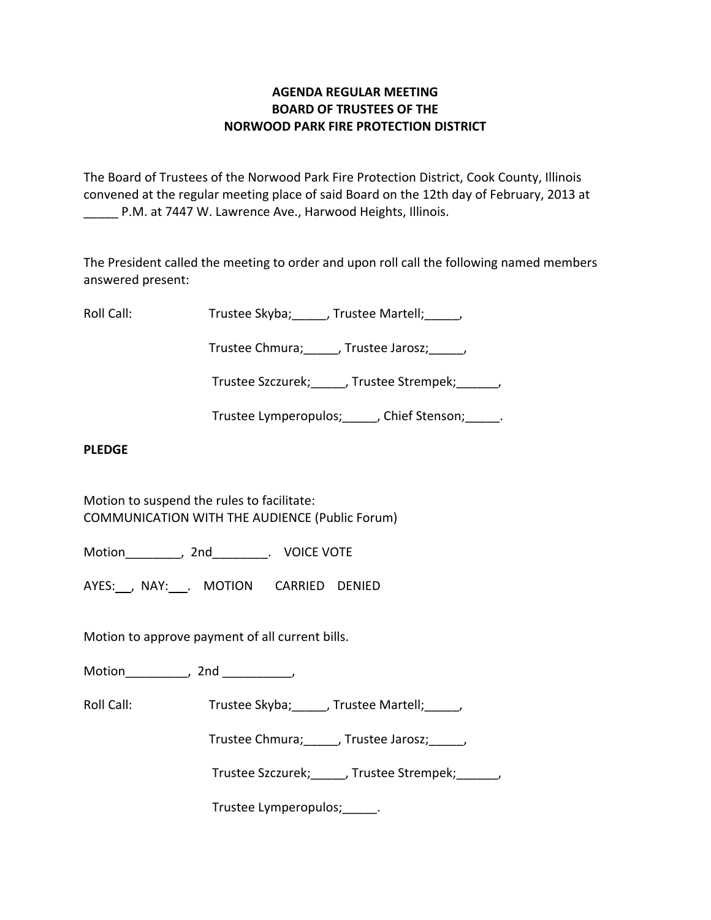# **AGENDA REGULAR MEETING BOARD OF TRUSTEES OF THE NORWOOD PARK FIRE PROTECTION DISTRICT**

The Board of Trustees of the Norwood Park Fire Protection District, Cook County, Illinois convened at the regular meeting place of said Board on the 12th day of February, 2013 at \_\_\_\_\_ P.M. at 7447 W. Lawrence Ave., Harwood Heights, Illinois.

The President called the meeting to order and upon roll call the following named members answered present:

Roll Call: Trustee Skyba; Jrustee Martell;

Trustee Chmura; frustee Jarosz; frustee Ohmura; die Jarosz; die Jarosz; die Jarosz; die Jarosz; die J

Trustee Szczurek; frustee Strempek; frustee Strempek;

Trustee Lymperopulos; finition chief Stenson; and Trustee Lymperopulos; and Trustee Stenson;

## **PLEDGE**

Motion to suspend the rules to facilitate: COMMUNICATION WITH THE AUDIENCE (Public Forum)

Motion\_\_\_\_\_\_\_\_, 2nd\_\_\_\_\_\_\_\_. VOICE VOTE

AYES: NAY: NAY: MOTION CARRIED DENIED

Motion to approve payment of all current bills.

Motion the contract of the contract of the contract of the contract of the contract of the contract of the contract of the contract of the contract of the contract of the contract of the contract of the contract of the con

Roll Call: Trustee Skyba; Trustee Martell;

Trustee Chmura;\_\_\_\_\_, Trustee Jarosz;\_\_\_\_\_,

Trustee Szczurek; J. Trustee Strempek; J.

Trustee Lymperopulos;\_\_\_\_\_.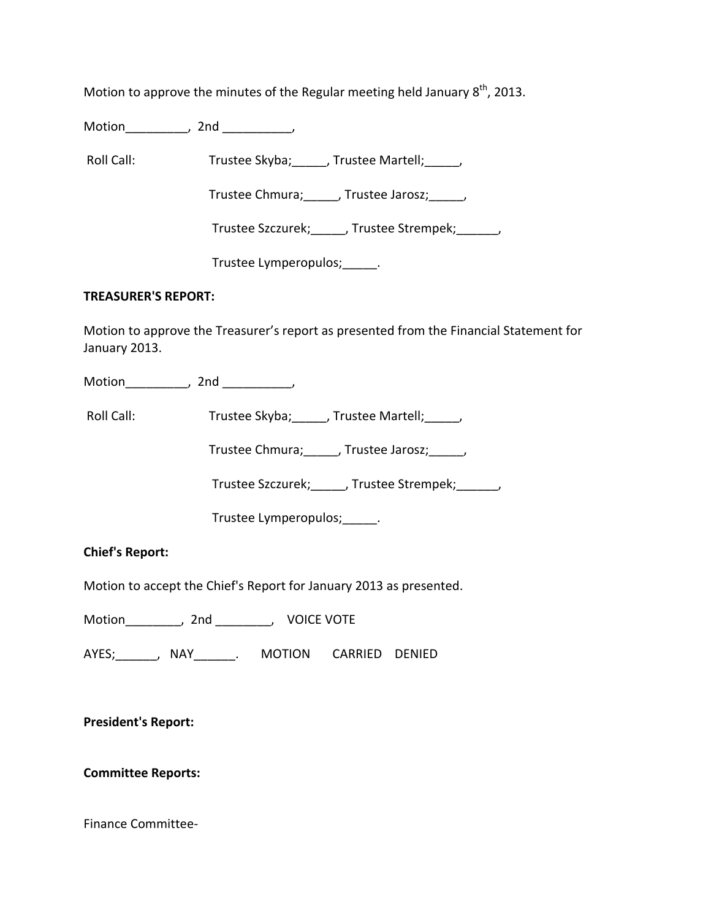Motion to approve the minutes of the Regular meeting held January  $8<sup>th</sup>$ , 2013.

Motion\_\_\_\_\_\_\_\_\_, 2nd \_\_\_\_\_\_\_\_\_\_,

Roll Call: Trustee Skyba; J. Trustee Martell; Trustee Martell;

Trustee Chmura; frustee Jarosz; frustee Jarosz;

Trustee Szczurek; J. Trustee Strempek; J.

Trustee Lymperopulos;\_\_\_\_\_.

## **TREASURER'S REPORT:**

Motion to approve the Treasurer's report as presented from the Financial Statement for January 2013.

Motion\_\_\_\_\_\_\_\_\_, 2nd \_\_\_\_\_\_\_\_\_,

Roll Call: Trustee Skyba; J. Trustee Martell; Trustee Martell;

Trustee Chmura;\_\_\_\_\_, Trustee Jarosz;\_\_\_\_\_,

Trustee Szczurek;\_\_\_\_\_, Trustee Strempek;\_\_\_\_\_\_,

Trustee Lymperopulos;\_\_\_\_\_.

**Chief's Report:**

Motion to accept the Chief's Report for January 2013 as presented.

Motion\_\_\_\_\_\_\_\_, 2nd \_\_\_\_\_\_\_\_, VOICE VOTE

AYES;\_\_\_\_\_\_, NAY\_\_\_\_\_\_. MOTION CARRIED DENIED

**President's Report:**

**Committee Reports:**

Finance Committee‐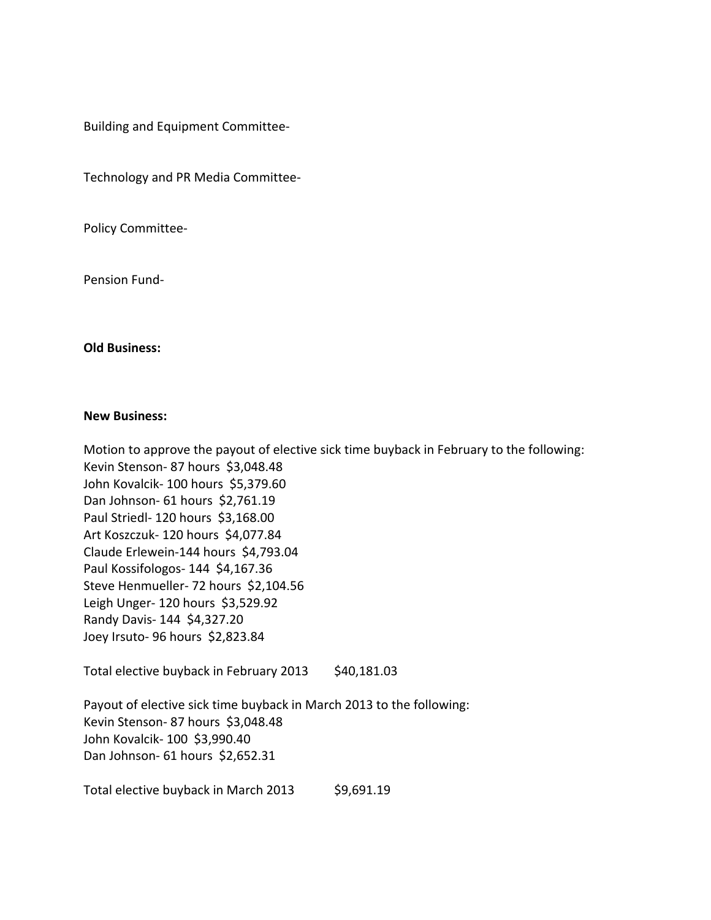Building and Equipment Committee‐

Technology and PR Media Committee‐

Policy Committee‐

Pension Fund‐

### **Old Business:**

#### **New Business:**

Motion to approve the payout of elective sick time buyback in February to the following: Kevin Stenson- 87 hours \$3,048.48 John Kovalcik‐ 100 hours \$5,379.60 Dan Johnson‐ 61 hours \$2,761.19 Paul Striedl‐ 120 hours \$3,168.00 Art Koszczuk‐ 120 hours \$4,077.84 Claude Erlewein‐144 hours \$4,793.04 Paul Kossifologos‐ 144 \$4,167.36 Steve Henmueller- 72 hours \$2,104.56 Leigh Unger- 120 hours \$3,529.92 Randy Davis‐ 144 \$4,327.20 Joey Irsuto‐ 96 hours \$2,823.84

Total elective buyback in February 2013 \$40,181.03

Payout of elective sick time buyback in March 2013 to the following: Kevin Stenson- 87 hours \$3,048.48 John Kovalcik‐ 100 \$3,990.40 Dan Johnson- 61 hours \$2,652.31

Total elective buyback in March 2013 \$9,691.19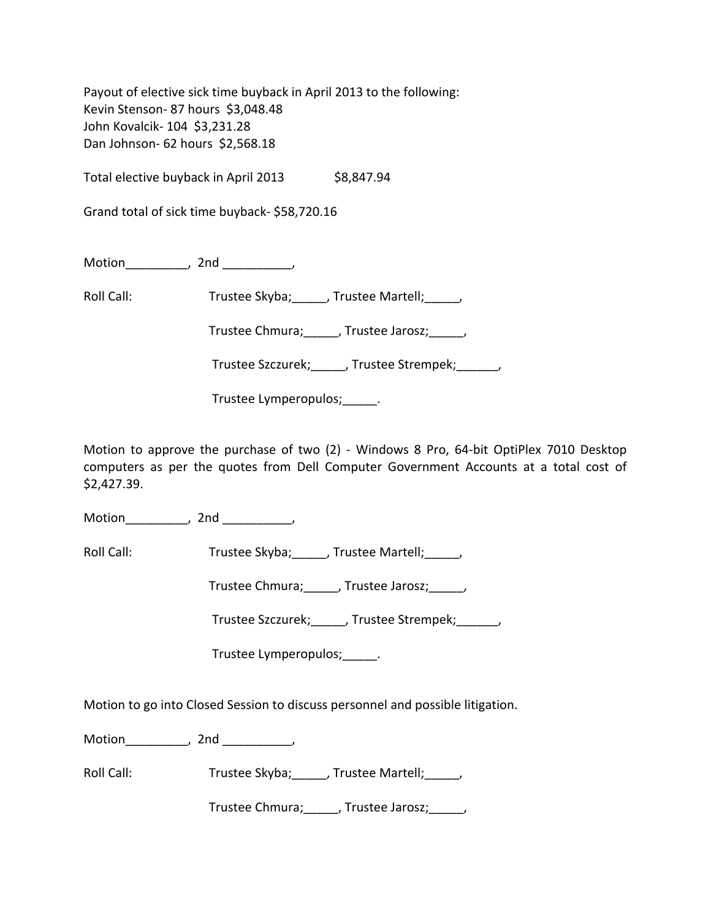Payout of elective sick time buyback in April 2013 to the following: Kevin Stenson- 87 hours \$3,048.48 John Kovalcik‐ 104 \$3,231.28 Dan Johnson- 62 hours \$2,568.18

Total elective buyback in April 2013 \$8,847.94

Grand total of sick time buyback‐ \$58,720.16

Motion the motion of the motion of the motion of the motion of the motion of the motion of the motion of the m<br>Second motion of the motion of the motion of the motion of the motion of the motion of the motion of the motio<br>

Roll Call: Trustee Skyba; \_\_\_\_, Trustee Martell; \_\_\_\_,

Trustee Chmura;\_\_\_\_\_, Trustee Jarosz;\_\_\_\_\_,

Trustee Szczurek;\_\_\_\_\_, Trustee Strempek;\_\_\_\_\_\_,

Trustee Lymperopulos; Fig.

Motion to approve the purchase of two (2) - Windows 8 Pro, 64-bit OptiPlex 7010 Desktop computers as per the quotes from Dell Computer Government Accounts at a total cost of \$2,427.39.

Motion\_\_\_\_\_\_\_\_\_\_, 2nd \_\_\_\_\_\_\_\_\_,

Roll Call: Trustee Skyba; \_\_\_\_, Trustee Martell; \_\_\_\_,

Trustee Chmura;\_\_\_\_\_, Trustee Jarosz;\_\_\_\_\_,

Trustee Szczurek;\_\_\_\_\_, Trustee Strempek;\_\_\_\_\_\_,

Trustee Lymperopulos; Fig.

Motion to go into Closed Session to discuss personnel and possible litigation.

Motion\_\_\_\_\_\_\_\_\_\_, 2nd \_\_\_\_\_\_\_\_\_\_,

Roll Call: Trustee Skyba; Trustee Martell; Trustee Martell;

Trustee Chmura;\_\_\_\_\_, Trustee Jarosz;\_\_\_\_\_,